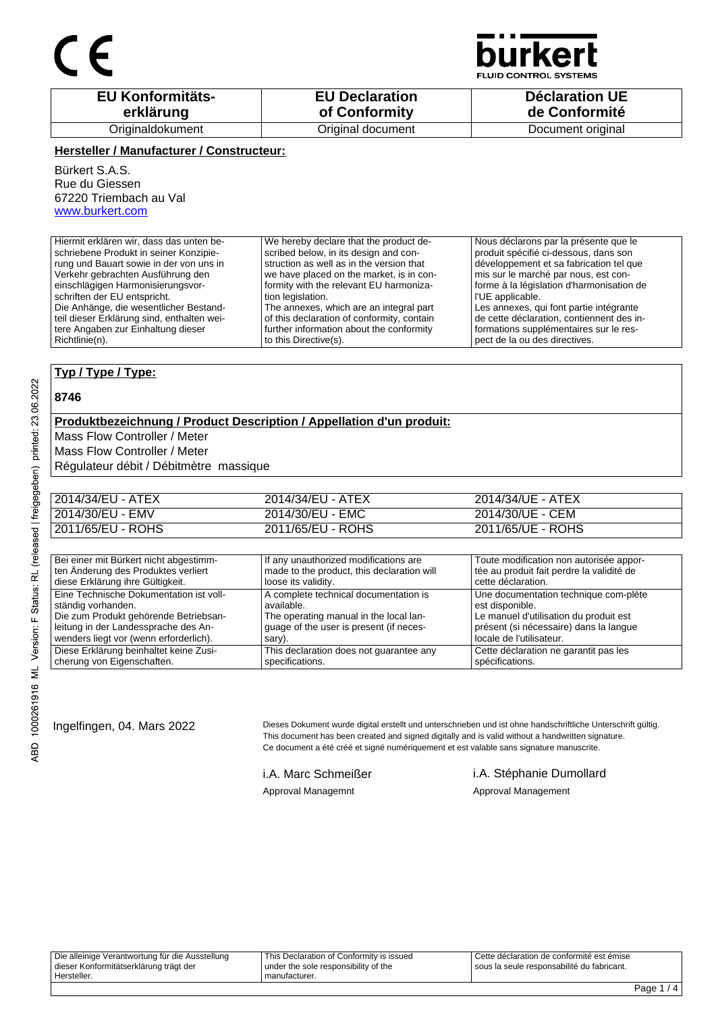## $\epsilon$



**FLUID CONTROL SYSTEMS** 

| <b>EU Konformitäts-</b> | <b>EU Declaration</b> | <b>Déclaration UE</b> |
|-------------------------|-----------------------|-----------------------|
| erklärung               | of Conformity         | de Conformité         |
| Originaldokument        | Original document     | Document original     |

#### **Hersteller / Manufacturer / Constructeur:**

Bürkert S.A.S. Rue du Giessen 67220 Triembach au Val www.burkert.com

| Hiermit erklären wir, dass das unten be-   | We hereby declare that the product de-     | Nous déclarons par la présente que le     |
|--------------------------------------------|--------------------------------------------|-------------------------------------------|
| schriebene Produkt in seiner Konzipie-     | scribed below, in its design and con-      | produit spécifié ci-dessous, dans son     |
| rung und Bauart sowie in der von uns in    | struction as well as in the version that   | développement et sa fabrication tel que   |
| Verkehr gebrachten Ausführung den          | we have placed on the market, is in con-   | mis sur le marché par nous, est con-      |
| einschlägigen Harmonisierungsvor-          | formity with the relevant EU harmoniza-    | forme à la législation d'harmonisation de |
| schriften der EU entspricht.               | tion legislation.                          | l'UE applicable.                          |
| Die Anhänge, die wesentlicher Bestand-     | The annexes, which are an integral part    | Les annexes, qui font partie intégrante   |
| teil dieser Erklärung sind, enthalten wei- | of this declaration of conformity, contain | de cette déclaration, contiennent des in- |
| tere Angaben zur Einhaltung dieser         | further information about the conformity   | formations supplémentaires sur le res-    |
| l Richtlinie(n).                           | to this Directive(s).                      | pect de la ou des directives.             |
|                                            |                                            |                                           |

#### **Typ / Type / Type:**

#### **8746**

### **Produktbezeichnung / Product Description / Appellation d'un produit:**

Mass Flow Controller / Meter

Mass Flow Controller / Meter

Régulateur débit / Débitmètre massique

| 2014/34/EU - ATEX | 2014/34/EU - ATEX | 2014/34/UE - ATEX |
|-------------------|-------------------|-------------------|
| 2014/30/EU - EMV  | 2014/30/EU - EMC  | 2014/30/UE - CEM  |
| 2011/65/EU - ROHS | 2011/65/EU - ROHS | 2011/65/UE - ROHS |

| Bei einer mit Bürkert nicht abgestimm-  | If any unauthorized modifications are      | Toute modification non autorisée appor-   |
|-----------------------------------------|--------------------------------------------|-------------------------------------------|
| ten Änderung des Produktes verliert     | made to the product, this declaration will | tée au produit fait perdre la validité de |
| diese Erklärung ihre Gültigkeit.        | loose its validity.                        | cette déclaration.                        |
| Eine Technische Dokumentation ist voll- | A complete technical documentation is      | Une documentation technique com-plète     |
| ständig vorhanden.                      | available.                                 | est disponible.                           |
| Die zum Produkt gehörende Betriebsan-   | The operating manual in the local lan-     | Le manuel d'utilisation du produit est    |
| leitung in der Landessprache des An-    | quage of the user is present (if neces-    | présent (si nécessaire) dans la langue    |
| wenders liegt vor (wenn erforderlich).  | sary).                                     | locale de l'utilisateur.                  |
| Diese Erklärung beinhaltet keine Zusi-  | This declaration does not quarantee any    | Cette déclaration ne garantit pas les     |
| cherung von Eigenschaften.              | specifications.                            | spécifications.                           |

Ingelfingen, 04. Mars 2022 Dieses Dokument wurde digital erstellt und unterschrieben und ist ohne handschriftliche Unterschrift gültig. This document has been created and signed digitally and is valid without a handwritten signature. Ce document a été créé et signé numériquement et est valable sans signature manuscrite.

i.A. Marc Schmeißer i.A. Stéphanie Dumollard Approval Managemnt **Approval Management**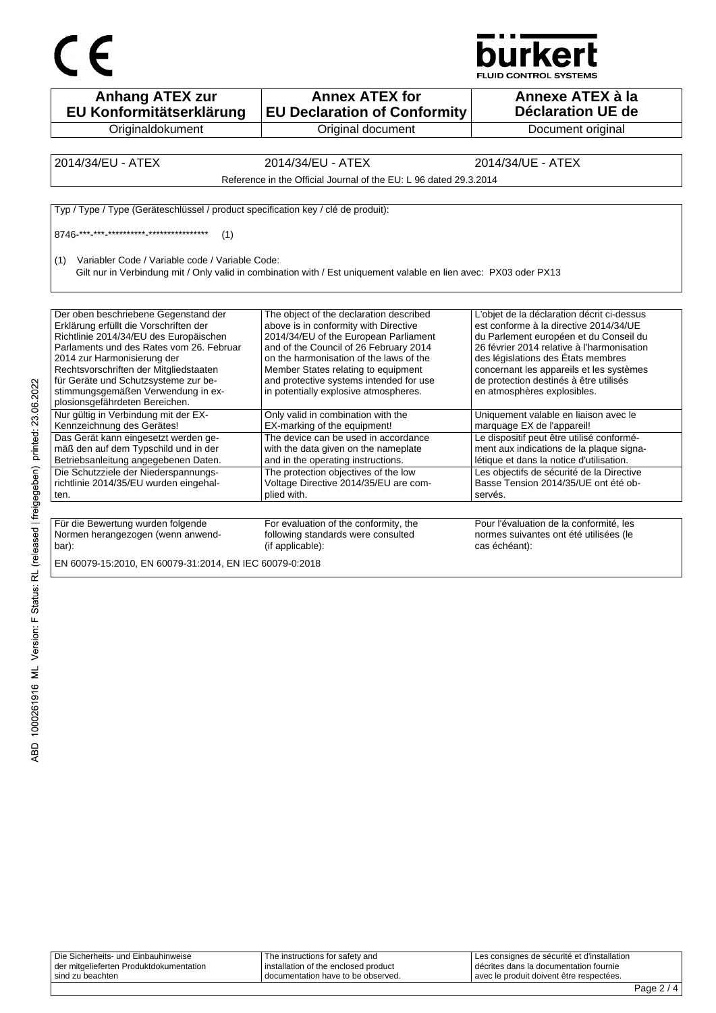



| <b>Anhang ATEX zur</b><br>EU Konformitätserklärung                                                                                                                                                                                                                                    | <b>Annex ATEX for</b><br><b>EU Declaration of Conformity</b>                                                                                                                                                                                                                                     | Annexe ATEX à la<br><b>Déclaration UE de</b>                                                                                                                                                                                                                                                             |
|---------------------------------------------------------------------------------------------------------------------------------------------------------------------------------------------------------------------------------------------------------------------------------------|--------------------------------------------------------------------------------------------------------------------------------------------------------------------------------------------------------------------------------------------------------------------------------------------------|----------------------------------------------------------------------------------------------------------------------------------------------------------------------------------------------------------------------------------------------------------------------------------------------------------|
| Originaldokument                                                                                                                                                                                                                                                                      | Original document                                                                                                                                                                                                                                                                                | Document original                                                                                                                                                                                                                                                                                        |
|                                                                                                                                                                                                                                                                                       |                                                                                                                                                                                                                                                                                                  |                                                                                                                                                                                                                                                                                                          |
| 2014/34/EU - ATEX                                                                                                                                                                                                                                                                     | 2014/34/EU - ATEX                                                                                                                                                                                                                                                                                | 2014/34/UE - ATEX                                                                                                                                                                                                                                                                                        |
|                                                                                                                                                                                                                                                                                       | Reference in the Official Journal of the EU: L 96 dated 29.3.2014                                                                                                                                                                                                                                |                                                                                                                                                                                                                                                                                                          |
| Typ / Type / Type (Geräteschlüssel / product specification key / clé de produit):                                                                                                                                                                                                     |                                                                                                                                                                                                                                                                                                  |                                                                                                                                                                                                                                                                                                          |
| (1)                                                                                                                                                                                                                                                                                   |                                                                                                                                                                                                                                                                                                  |                                                                                                                                                                                                                                                                                                          |
| Variabler Code / Variable code / Variable Code:<br>(1)                                                                                                                                                                                                                                | Gilt nur in Verbindung mit / Only valid in combination with / Est uniquement valable en lien avec: PX03 oder PX13                                                                                                                                                                                |                                                                                                                                                                                                                                                                                                          |
| Der oben beschriebene Gegenstand der<br>Erklärung erfüllt die Vorschriften der<br>Richtlinie 2014/34/EU des Europäischen<br>Parlaments und des Rates vom 26. Februar<br>2014 zur Harmonisierung der<br>Rechtsvorschriften der Mitgliedstaaten<br>für Geräte und Schutzsysteme zur be- | The object of the declaration described<br>above is in conformity with Directive<br>2014/34/EU of the European Parliament<br>and of the Council of 26 February 2014<br>on the harmonisation of the laws of the<br>Member States relating to equipment<br>and protective systems intended for use | L'objet de la déclaration décrit ci-dessus<br>est conforme à la directive 2014/34/UE<br>du Parlement européen et du Conseil du<br>26 février 2014 relative à l'harmonisation<br>des législations des États membres<br>concernant les appareils et les systèmes<br>de protection destinés à être utilisés |
| stimmungsgemäßen Verwendung in ex-<br>plosionsgefährdeten Bereichen.                                                                                                                                                                                                                  | in potentially explosive atmospheres.                                                                                                                                                                                                                                                            | en atmosphères explosibles.                                                                                                                                                                                                                                                                              |
| Nur gültig in Verbindung mit der EX-<br>Kennzeichnung des Gerätes!                                                                                                                                                                                                                    | Only valid in combination with the<br>EX-marking of the equipment!                                                                                                                                                                                                                               | Uniquement valable en liaison avec le<br>marquage EX de l'appareil!                                                                                                                                                                                                                                      |
| Das Gerät kann eingesetzt werden ge-<br>mäß den auf dem Typschild und in der<br>Betriebsanleitung angegebenen Daten.                                                                                                                                                                  | The device can be used in accordance<br>with the data given on the nameplate<br>and in the operating instructions.                                                                                                                                                                               | Le dispositif peut être utilisé conformé-<br>ment aux indications de la plaque signa-<br>létique et dans la notice d'utilisation.                                                                                                                                                                        |
| Die Schutzziele der Niederspannungs-<br>richtlinie 2014/35/EU wurden eingehal-<br>ten.                                                                                                                                                                                                | The protection objectives of the low<br>Voltage Directive 2014/35/EU are com-<br>plied with.                                                                                                                                                                                                     | Les objectifs de sécurité de la Directive<br>Basse Tension 2014/35/UE ont été ob-<br>servés.                                                                                                                                                                                                             |
|                                                                                                                                                                                                                                                                                       |                                                                                                                                                                                                                                                                                                  |                                                                                                                                                                                                                                                                                                          |
| Für die Bewertung wurden folgende<br>Normen herangezogen (wenn anwend-<br>bar):                                                                                                                                                                                                       | For evaluation of the conformity, the<br>following standards were consulted<br>(if applicable):                                                                                                                                                                                                  | Pour l'évaluation de la conformité, les<br>normes suivantes ont été utilisées (le<br>cas échéant):                                                                                                                                                                                                       |
| EN 60079-15:2010, EN 60079-31:2014, EN IEC 60079-0:2018                                                                                                                                                                                                                               |                                                                                                                                                                                                                                                                                                  |                                                                                                                                                                                                                                                                                                          |

| Die Sicherheits- und Einbauhinweise       | The instructions for safety and      | I Les consignes de sécurité et d'installation |   |        |
|-------------------------------------------|--------------------------------------|-----------------------------------------------|---|--------|
| l der mitgelieferten Produktdokumentation | installation of the enclosed product | décrites dans la documentation fournie        |   |        |
| ' sind zu beachten                        | I documentation have to be observed. | avec le produit doivent être respectées.      |   |        |
|                                           |                                      |                                               | - | $\sim$ |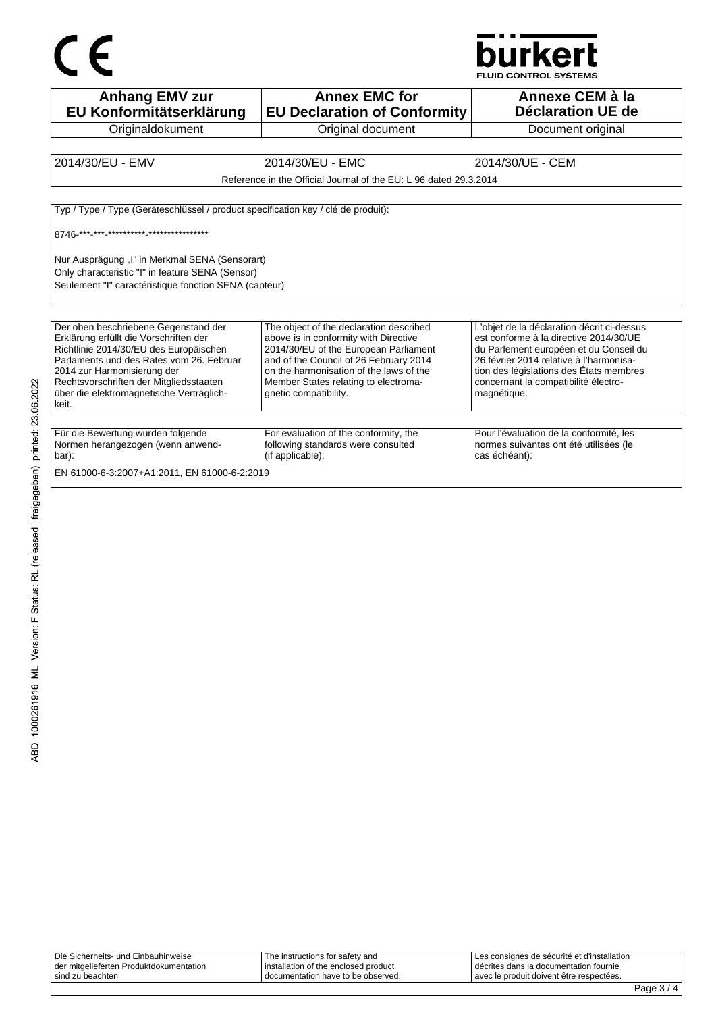

**Anhang EMV zur EU Konformitätserklärung Originaldokument Annex EMC for EU Declaration of Conformity** Original document **Annexe CEM à la Déclaration UE de**  Document original 2014/30/EU - EMV 2014/30/EU - EMC 2014/30/UE - CEM Reference in the Official Journal of the EU: L 96 dated 29.3.2014 Typ / Type / Type (Geräteschlüssel / product specification key / clé de produit): 8746-\*\*\*-\*\*\*-\*\*\*\*\*\*\*\*\*\*-\*\*\*\*\*\*\*\*\*\*\*\*\*\*\* Nur Ausprägung "I" in Merkmal SENA (Sensorart) Only characteristic "I" in feature SENA (Sensor) Seulement "I" caractéristique fonction SENA (capteur) Der oben beschriebene Gegenstand der Erklärung erfüllt die Vorschriften der Richtlinie 2014/30/EU des Europäischen Parlaments und des Rates vom 26. Februar 2014 zur Harmonisierung der Rechtsvorschriften der Mitgliedsstaaten über die elektromagnetische Verträglichkeit. The object of the declaration described above is in conformity with Directive 2014/30/EU of the European Parliament and of the Council of 26 February 2014 on the harmonisation of the laws of the Member States relating to electromagnetic compatibility. L'objet de la déclaration décrit ci-dessus est conforme à la directive 2014/30/UE du Parlement européen et du Conseil du 26 février 2014 relative à l'harmonisation des législations des États membres concernant la compatibilité électromagnétique. Für die Bewertung wurden folgende Normen herangezogen (wenn anwendbar): For evaluation of the conformity, the following standards were consulted (if applicable): Pour l'évaluation de la conformité, les normes suivantes ont été utilisées (le cas échéant):

EN 61000-6-3:2007+A1:2011, EN 61000-6-2:2019

| Die Sicherheits- und Einbauhinweise     | The instructions for safety and        | Les consignes de sécurité et d'installation |
|-----------------------------------------|----------------------------------------|---------------------------------------------|
| der mitgelieferten Produktdokumentation | l installation of the enclosed product | I décrites dans la documentation fournie    |
| sind zu beachten                        | I documentation have to be observed.   | avec le produit doivent être respectées.    |
|                                         |                                        |                                             |